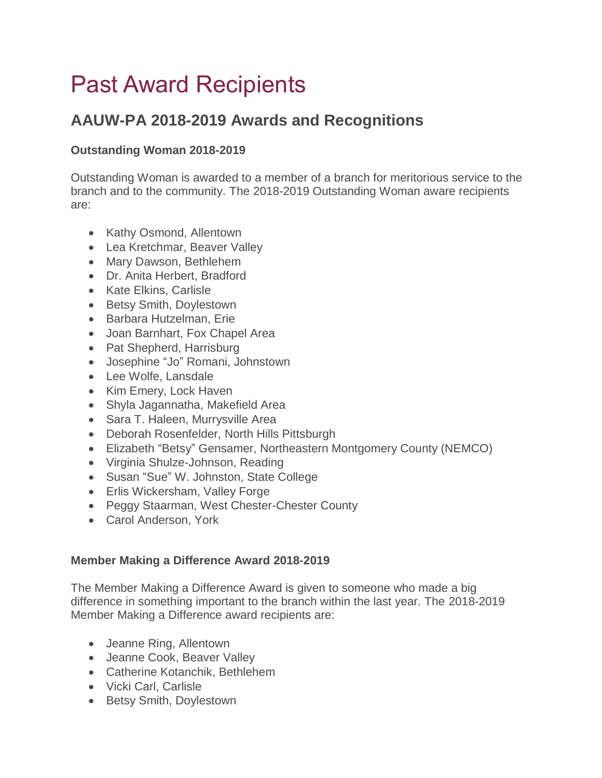# Past Award Recipients

# **AAUW-PA 2018-2019 Awards and Recognitions**

## **Outstanding Woman 2018-2019**

Outstanding Woman is awarded to a member of a branch for meritorious service to the branch and to the community. The 2018-2019 Outstanding Woman aware recipients are:

- Kathy Osmond, Allentown
- Lea Kretchmar, Beaver Valley
- Mary Dawson, Bethlehem
- Dr. Anita Herbert, Bradford
- Kate Elkins, Carlisle
- Betsy Smith, Doylestown
- **Barbara Hutzelman, Erie**
- Joan Barnhart, Fox Chapel Area
- Pat Shepherd, Harrisburg
- Josephine "Jo" Romani, Johnstown
- Lee Wolfe, Lansdale
- Kim Emery, Lock Haven
- Shyla Jagannatha, Makefield Area
- Sara T. Haleen, Murrysville Area
- Deborah Rosenfelder, North Hills Pittsburgh
- Elizabeth "Betsy" Gensamer, Northeastern Montgomery County (NEMCO)
- Virginia Shulze-Johnson, Reading
- Susan "Sue" W. Johnston, State College
- Erlis Wickersham, Valley Forge
- Peggy Staarman, West Chester-Chester County
- Carol Anderson, York

#### **Member Making a Difference Award 2018-2019**

The Member Making a Difference Award is given to someone who made a big difference in something important to the branch within the last year. The 2018-2019 Member Making a Difference award recipients are:

- Jeanne Ring, Allentown
- Jeanne Cook, Beaver Valley
- Catherine Kotanchik, Bethlehem
- Vicki Carl, Carlisle
- Betsy Smith, Doylestown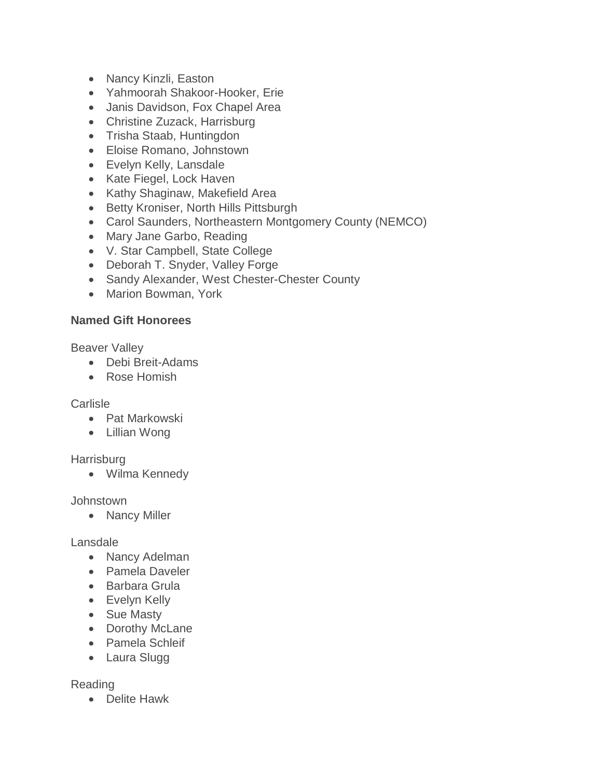- Nancy Kinzli, Easton
- Yahmoorah Shakoor-Hooker, Erie
- Janis Davidson, Fox Chapel Area
- Christine Zuzack, Harrisburg
- Trisha Staab, Huntingdon
- Eloise Romano, Johnstown
- Evelyn Kelly, Lansdale
- Kate Fiegel, Lock Haven
- Kathy Shaginaw, Makefield Area
- Betty Kroniser, North Hills Pittsburgh
- Carol Saunders, Northeastern Montgomery County (NEMCO)
- Mary Jane Garbo, Reading
- V. Star Campbell, State College
- Deborah T. Snyder, Valley Forge
- Sandy Alexander, West Chester-Chester County
- Marion Bowman, York

# **Named Gift Honorees**

Beaver Valley

- Debi Breit-Adams
- Rose Homish

### Carlisle

- Pat Markowski
- Lillian Wong

### **Harrisburg**

Wilma Kennedy

### Johnstown

• Nancy Miller

### Lansdale

- Nancy Adelman
- Pamela Daveler
- Barbara Grula
- Evelyn Kelly
- Sue Masty
- Dorothy McLane
- Pamela Schleif
- Laura Slugg

### Reading

Delite Hawk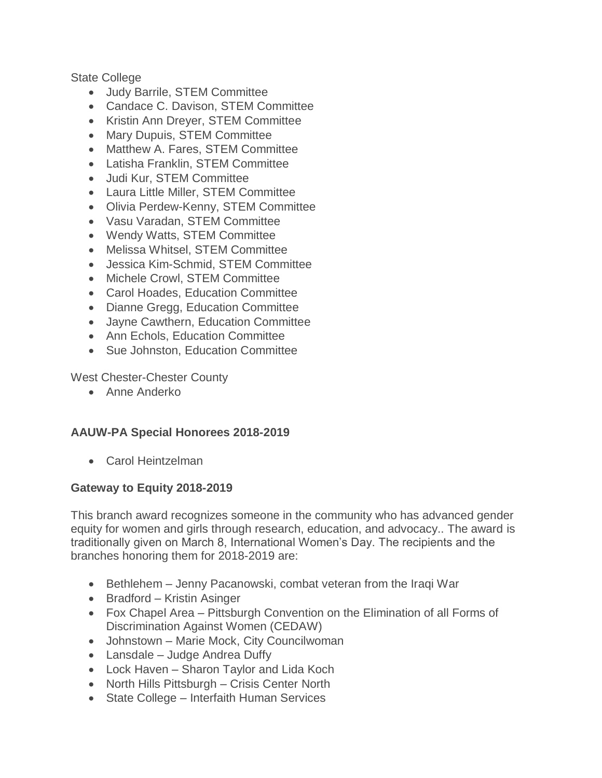State College

- Judy Barrile, STEM Committee
- Candace C. Davison, STEM Committee
- Kristin Ann Dreyer, STEM Committee
- Mary Dupuis, STEM Committee
- Matthew A. Fares, STEM Committee
- Latisha Franklin, STEM Committee
- Judi Kur, STEM Committee
- Laura Little Miller, STEM Committee
- Olivia Perdew-Kenny, STEM Committee
- Vasu Varadan, STEM Committee
- Wendy Watts, STEM Committee
- Melissa Whitsel, STEM Committee
- Jessica Kim-Schmid, STEM Committee
- Michele Crowl, STEM Committee
- Carol Hoades, Education Committee
- Dianne Gregg, Education Committee
- Jayne Cawthern, Education Committee
- Ann Echols, Education Committee
- Sue Johnston, Education Committee

West Chester-Chester County

Anne Anderko

#### **AAUW-PA Special Honorees 2018-2019**

Carol Heintzelman

#### **Gateway to Equity 2018-2019**

This branch award recognizes someone in the community who has advanced gender equity for women and girls through research, education, and advocacy.. The award is traditionally given on March 8, International Women's Day. The recipients and the branches honoring them for 2018-2019 are:

- Bethlehem Jenny Pacanowski, combat veteran from the Iraqi War
- Bradford Kristin Asinger
- Fox Chapel Area Pittsburgh Convention on the Elimination of all Forms of Discrimination Against Women (CEDAW)
- Johnstown Marie Mock, City Councilwoman
- Lansdale Judge Andrea Duffy
- Lock Haven Sharon Taylor and Lida Koch
- North Hills Pittsburgh Crisis Center North
- State College Interfaith Human Services